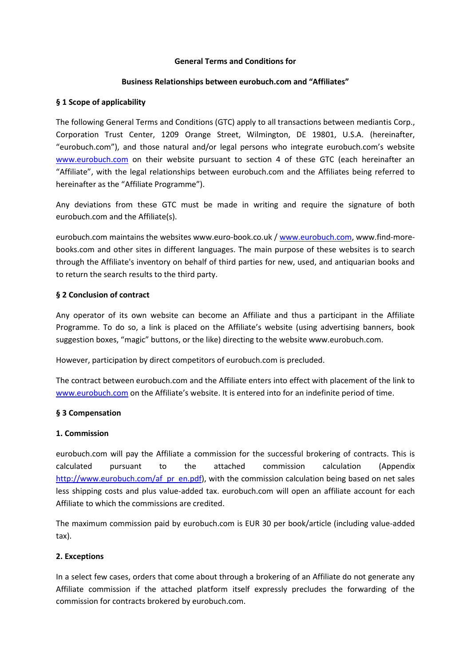#### **General Terms and Conditions for**

#### **Business Relationships between eurobuch.com and "Affiliates"**

#### **§ 1 Scope of applicability**

The following General Terms and Conditions (GTC) apply to all transactions between mediantis Corp., Corporation Trust Center, 1209 Orange Street, Wilmington, DE 19801, U.S.A. (hereinafter, "eurobuch.com"), and those natural and/or legal persons who integrate eurobuch.com's website [www.eurobuch.com](http://www.eurobuch.com/) on their website pursuant to section 4 of these GTC (each hereinafter an "Affiliate", with the legal relationships between eurobuch.com and the Affiliates being referred to hereinafter as the "Affiliate Programme").

Any deviations from these GTC must be made in writing and require the signature of both eurobuch.com and the Affiliate(s).

eurobuch.com maintains the websites www.euro-book.co.uk / [www.eurobuch.com,](http://www.eurobuch.com/) www.find-morebooks.com and other sites in different languages. The main purpose of these websites is to search through the Affiliate's inventory on behalf of third parties for new, used, and antiquarian books and to return the search results to the third party.

### **§ 2 Conclusion of contract**

Any operator of its own website can become an Affiliate and thus a participant in the Affiliate Programme. To do so, a link is placed on the Affiliate's website (using advertising banners, book suggestion boxes, "magic" buttons, or the like) directing to the website www.eurobuch.com.

However, participation by direct competitors of eurobuch.com is precluded.

The contract between eurobuch.com and the Affiliate enters into effect with placement of the link to [www.eurobuch.com](http://www.eurobuch.com/) on the Affiliate's website. It is entered into for an indefinite period of time.

# **§ 3 Compensation**

#### **1. Commission**

eurobuch.com will pay the Affiliate a commission for the successful brokering of contracts. This is calculated pursuant to the attached commission calculation (Appendix [http://www.eurobuch.com/af\\_pr\\_en.pdf\)](http://www.eurobuch.com/af_pr_en.pdf), with the commission calculation being based on net sales less shipping costs and plus value-added tax. eurobuch.com will open an affiliate account for each Affiliate to which the commissions are credited.

The maximum commission paid by eurobuch.com is EUR 30 per book/article (including value-added tax).

# **2. Exceptions**

In a select few cases, orders that come about through a brokering of an Affiliate do not generate any Affiliate commission if the attached platform itself expressly precludes the forwarding of the commission for contracts brokered by eurobuch.com.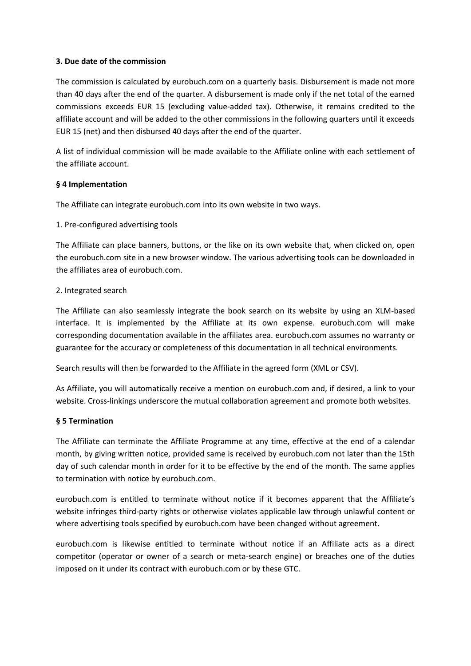#### **3. Due date of the commission**

The commission is calculated by eurobuch.com on a quarterly basis. Disbursement is made not more than 40 days after the end of the quarter. A disbursement is made only if the net total of the earned commissions exceeds EUR 15 (excluding value-added tax). Otherwise, it remains credited to the affiliate account and will be added to the other commissions in the following quarters until it exceeds EUR 15 (net) and then disbursed 40 days after the end of the quarter.

A list of individual commission will be made available to the Affiliate online with each settlement of the affiliate account.

### **§ 4 Implementation**

The Affiliate can integrate eurobuch.com into its own website in two ways.

1. Pre-configured advertising tools

The Affiliate can place banners, buttons, or the like on its own website that, when clicked on, open the eurobuch.com site in a new browser window. The various advertising tools can be downloaded in the affiliates area of eurobuch.com.

### 2. Integrated search

The Affiliate can also seamlessly integrate the book search on its website by using an XLM-based interface. It is implemented by the Affiliate at its own expense. eurobuch.com will make corresponding documentation available in the affiliates area. eurobuch.com assumes no warranty or guarantee for the accuracy or completeness of this documentation in all technical environments.

Search results will then be forwarded to the Affiliate in the agreed form (XML or CSV).

As Affiliate, you will automatically receive a mention on eurobuch.com and, if desired, a link to your website. Cross-linkings underscore the mutual collaboration agreement and promote both websites.

# **§ 5 Termination**

The Affiliate can terminate the Affiliate Programme at any time, effective at the end of a calendar month, by giving written notice, provided same is received by eurobuch.com not later than the 15th day of such calendar month in order for it to be effective by the end of the month. The same applies to termination with notice by eurobuch.com.

eurobuch.com is entitled to terminate without notice if it becomes apparent that the Affiliate's website infringes third-party rights or otherwise violates applicable law through unlawful content or where advertising tools specified by eurobuch.com have been changed without agreement.

eurobuch.com is likewise entitled to terminate without notice if an Affiliate acts as a direct competitor (operator or owner of a search or meta-search engine) or breaches one of the duties imposed on it under its contract with eurobuch.com or by these GTC.